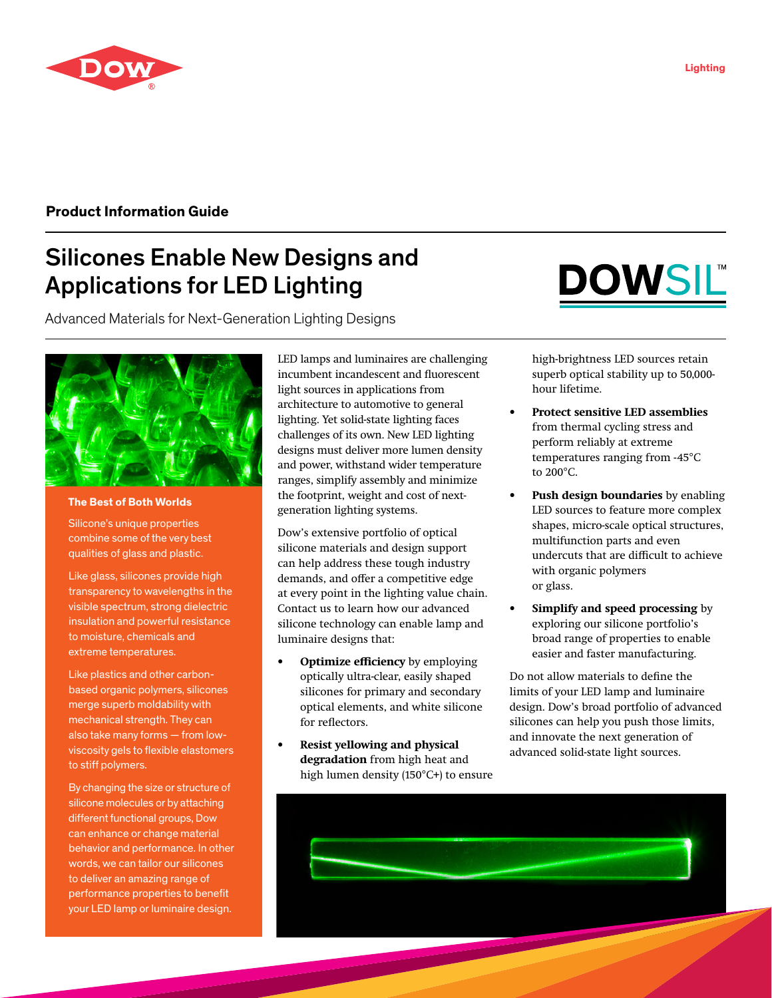

# **Product Information Guide**

# Silicones Enable New Designs and Applications for LED Lighting

Advanced Materials for Next-Generation Lighting Designs



# **The Best of Both Worlds**

Silicone's unique properties combine some of the very best qualities of glass and plastic.

Like glass, silicones provide high transparency to wavelengths in the visible spectrum, strong dielectric insulation and powerful resistance to moisture, chemicals and extreme temperatures.

Like plastics and other carbonbased organic polymers, silicones merge superb moldability with mechanical strength. They can also take many forms — from lowviscosity gels to flexible elastomers to stiff polymers.

By changing the size or structure of silicone molecules or by attaching different functional groups, Dow can enhance or change material behavior and performance. In other words, we can tailor our silicones to deliver an amazing range of performance properties to benefit your LED lamp or luminaire design.

LED lamps and luminaires are challenging incumbent incandescent and fluorescent light sources in applications from architecture to automotive to general lighting. Yet solid-state lighting faces challenges of its own. New LED lighting designs must deliver more lumen density and power, withstand wider temperature ranges, simplify assembly and minimize the footprint, weight and cost of nextgeneration lighting systems.

Dow's extensive portfolio of optical silicone materials and design support can help address these tough industry demands, and offer a competitive edge at every point in the lighting value chain. Contact us to learn how our advanced silicone technology can enable lamp and luminaire designs that:

- **• Optimize efficiency** by employing optically ultra-clear, easily shaped silicones for primary and secondary optical elements, and white silicone for reflectors.
- **• Resist yellowing and physical degradation** from high heat and high lumen density (150°C+) to ensure



high-brightness LED sources retain superb optical stability up to 50,000 hour lifetime.

- **• Protect sensitive LED assemblies** from thermal cycling stress and perform reliably at extreme temperatures ranging from -45°C to 200°C.
- **• Push design boundaries** by enabling LED sources to feature more complex shapes, micro-scale optical structures, multifunction parts and even undercuts that are difficult to achieve with organic polymers or glass.
- **• Simplify and speed processing** by exploring our silicone portfolio's broad range of properties to enable easier and faster manufacturing.

Do not allow materials to define the limits of your LED lamp and luminaire design. Dow's broad portfolio of advanced silicones can help you push those limits, and innovate the next generation of advanced solid-state light sources.